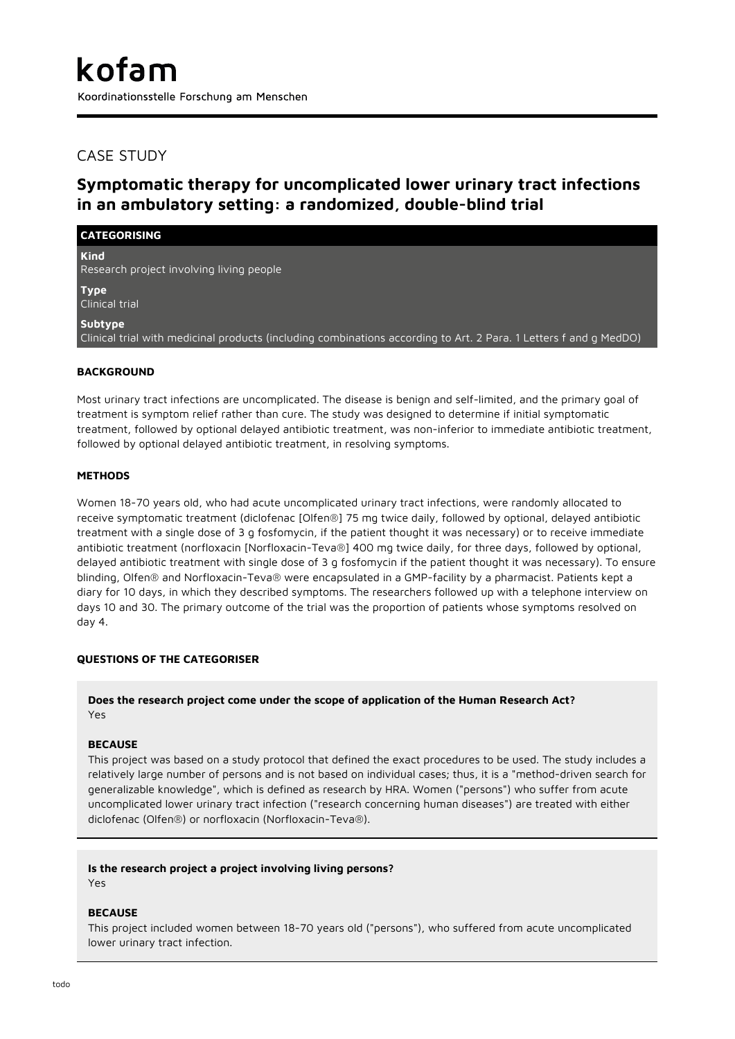# CASE STUDY

**CATEGORISING**

# **Symptomatic therapy for uncomplicated lower urinary tract infections in an ambulatory setting: a randomized, double-blind trial**

**Kind** Research project involving living people

**Type** Clinical trial

**Subtype**

Clinical trial with medicinal products (including combinations according to Art. 2 Para. 1 Letters f and g MedDO)

## **BACKGROUND**

Most urinary tract infections are uncomplicated. The disease is benign and self-limited, and the primary goal of treatment is symptom relief rather than cure. The study was designed to determine if initial symptomatic treatment, followed by optional delayed antibiotic treatment, was non-inferior to immediate antibiotic treatment, followed by optional delayed antibiotic treatment, in resolving symptoms.

## **METHODS**

Women 18-70 years old, who had acute uncomplicated urinary tract infections, were randomly allocated to receive symptomatic treatment (diclofenac [Olfen®] 75 mg twice daily, followed by optional, delayed antibiotic treatment with a single dose of 3 g fosfomycin, if the patient thought it was necessary) or to receive immediate antibiotic treatment (norfloxacin [Norfloxacin-Teva®] 400 mg twice daily, for three days, followed by optional, delayed antibiotic treatment with single dose of 3 g fosfomycin if the patient thought it was necessary). To ensure blinding, Olfen® and Norfloxacin-Teva® were encapsulated in a GMP-facility by a pharmacist. Patients kept a diary for 10 days, in which they described symptoms. The researchers followed up with a telephone interview on days 10 and 30. The primary outcome of the trial was the proportion of patients whose symptoms resolved on day 4.

# **QUESTIONS OF THE CATEGORISER**

## **Does the research project come under the scope of application of the Human Research Act?** Yes

#### **BECAUSE**

This project was based on a study protocol that defined the exact procedures to be used. The study includes a relatively large number of persons and is not based on individual cases; thus, it is a "method-driven search for generalizable knowledge", which is defined as research by HRA. Women ("persons") who suffer from acute uncomplicated lower urinary tract infection ("research concerning human diseases") are treated with either diclofenac (Olfen®) or norfloxacin (Norfloxacin-Teva®).

#### **Is the research project a project involving living persons?**

Yes

#### **BECAUSE**

This project included women between 18-70 years old ("persons"), who suffered from acute uncomplicated lower urinary tract infection.